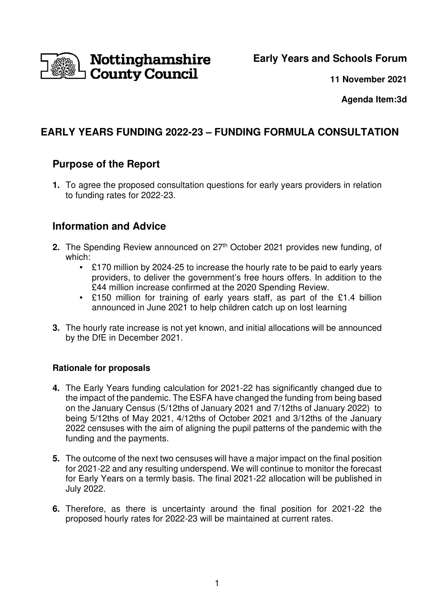

## **Early Years and Schools Forum**

**11 November 2021**

**Agenda Item:3d** 

# **EARLY YEARS FUNDING 2022-23 – FUNDING FORMULA CONSULTATION**

## **Purpose of the Report**

**1.** To agree the proposed consultation questions for early years providers in relation to funding rates for 2022-23.

## **Information and Advice**

- **2.** The Spending Review announced on 27<sup>th</sup> October 2021 provides new funding, of which:
	- £170 million by 2024-25 to increase the hourly rate to be paid to early years providers, to deliver the government's free hours offers. In addition to the £44 million increase confirmed at the 2020 Spending Review.
	- £150 million for training of early years staff, as part of the £1.4 billion announced in June 2021 to help children catch up on lost learning
- **3.** The hourly rate increase is not yet known, and initial allocations will be announced by the DfE in December 2021.

### **Rationale for proposals**

- **4.** The Early Years funding calculation for 2021-22 has significantly changed due to the impact of the pandemic. The ESFA have changed the funding from being based on the January Census (5/12ths of January 2021 and 7/12ths of January 2022) to being 5/12ths of May 2021, 4/12ths of October 2021 and 3/12ths of the January 2022 censuses with the aim of aligning the pupil patterns of the pandemic with the funding and the payments.
- **5.** The outcome of the next two censuses will have a major impact on the final position for 2021-22 and any resulting underspend. We will continue to monitor the forecast for Early Years on a termly basis. The final 2021-22 allocation will be published in July 2022.
- **6.** Therefore, as there is uncertainty around the final position for 2021-22 the proposed hourly rates for 2022-23 will be maintained at current rates.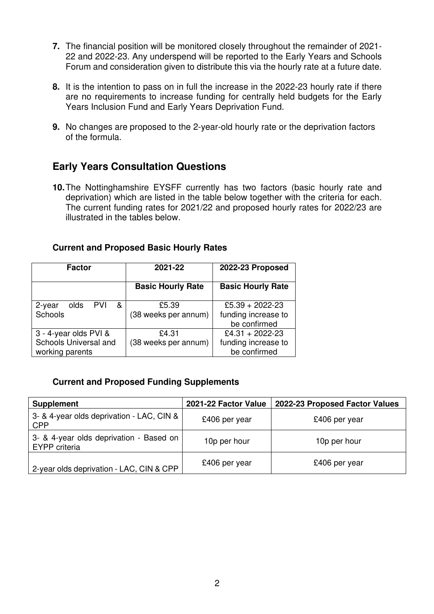- **7.** The financial position will be monitored closely throughout the remainder of 2021- 22 and 2022-23. Any underspend will be reported to the Early Years and Schools Forum and consideration given to distribute this via the hourly rate at a future date.
- **8.** It is the intention to pass on in full the increase in the 2022-23 hourly rate if there are no requirements to increase funding for centrally held budgets for the Early Years Inclusion Fund and Early Years Deprivation Fund.
- **9.** No changes are proposed to the 2-year-old hourly rate or the deprivation factors of the formula.

## **Early Years Consultation Questions**

**10.** The Nottinghamshire EYSFF currently has two factors (basic hourly rate and deprivation) which are listed in the table below together with the criteria for each. The current funding rates for 2021/22 and proposed hourly rates for 2022/23 are illustrated in the tables below.

| <b>Current and Proposed Basic Hourly Rates</b> |  |
|------------------------------------------------|--|
|------------------------------------------------|--|

| <b>Factor</b>                            | 2021-22                  | 2022-23 Proposed                    |
|------------------------------------------|--------------------------|-------------------------------------|
|                                          | <b>Basic Hourly Rate</b> | <b>Basic Hourly Rate</b>            |
| <b>PVI</b><br>&<br>olds<br>2-year        | £5.39                    | £5.39 + 2022-23                     |
| Schools                                  | (38 weeks per annum)     | funding increase to<br>be confirmed |
| 3 - 4-year olds PVI &                    | £4.31                    | £4.31 + 2022-23                     |
| Schools Universal and<br>working parents | (38 weeks per annum)     | funding increase to<br>be confirmed |

### **Current and Proposed Funding Supplements**

| <b>Supplement</b>                                               | 2021-22 Factor Value | 2022-23 Proposed Factor Values |
|-----------------------------------------------------------------|----------------------|--------------------------------|
| 3- & 4-year olds deprivation - LAC, CIN &<br><b>CPP</b>         | £406 per year        | £406 per year                  |
| 3- & 4-year olds deprivation - Based on<br><b>EYPP</b> criteria | 10p per hour         | 10p per hour                   |
| 2-year olds deprivation - LAC, CIN & CPP                        | £406 per year        | £406 per year                  |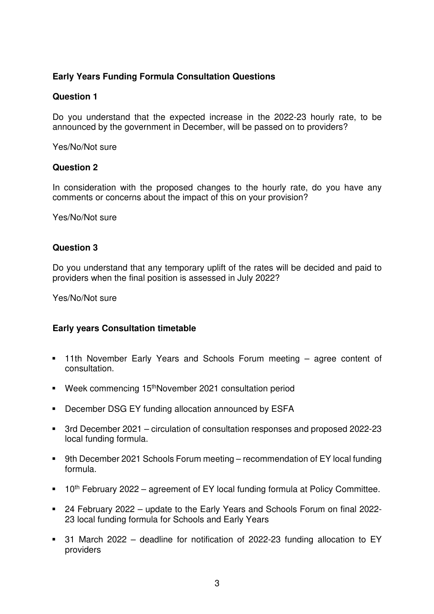### **Early Years Funding Formula Consultation Questions**

#### **Question 1**

Do you understand that the expected increase in the 2022-23 hourly rate, to be announced by the government in December, will be passed on to providers?

Yes/No/Not sure

#### **Question 2**

In consideration with the proposed changes to the hourly rate, do you have any comments or concerns about the impact of this on your provision?

Yes/No/Not sure

#### **Question 3**

Do you understand that any temporary uplift of the rates will be decided and paid to providers when the final position is assessed in July 2022?

Yes/No/Not sure

### **Early years Consultation timetable**

- 11th November Early Years and Schools Forum meeting agree content of consultation.
- Week commencing 15<sup>th</sup>November 2021 consultation period
- **December DSG EY funding allocation announced by ESFA**
- 3rd December 2021 circulation of consultation responses and proposed 2022-23 local funding formula.
- 9th December 2021 Schools Forum meeting recommendation of EY local funding formula.
- $10<sup>th</sup>$  February 2022 agreement of EY local funding formula at Policy Committee.
- 24 February 2022 update to the Early Years and Schools Forum on final 2022- 23 local funding formula for Schools and Early Years
- 31 March 2022 deadline for notification of 2022-23 funding allocation to EY providers